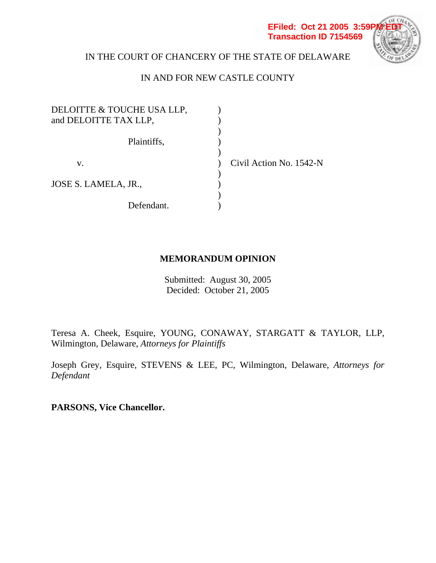

# IN THE COURT OF CHANCERY OF THE STATE OF DELAWARE

# IN AND FOR NEW CASTLE COUNTY

| DELOITTE & TOUCHE USA LLP, |                         |
|----------------------------|-------------------------|
| and DELOITTE TAX LLP,      |                         |
| Plaintiffs,                |                         |
| v.                         | Civil Action No. 1542-N |
| JOSE S. LAMELA, JR.,       |                         |
|                            |                         |
| Defendant.                 |                         |

### **MEMORANDUM OPINION**

Submitted: August 30, 2005 Decided: October 21, 2005

Teresa A. Cheek, Esquire, YOUNG, CONAWAY, STARGATT & TAYLOR, LLP, Wilmington, Delaware, *Attorneys for Plaintiffs*

Joseph Grey, Esquire, STEVENS & LEE, PC, Wilmington, Delaware, *Attorneys for Defendant* 

**PARSONS, Vice Chancellor.**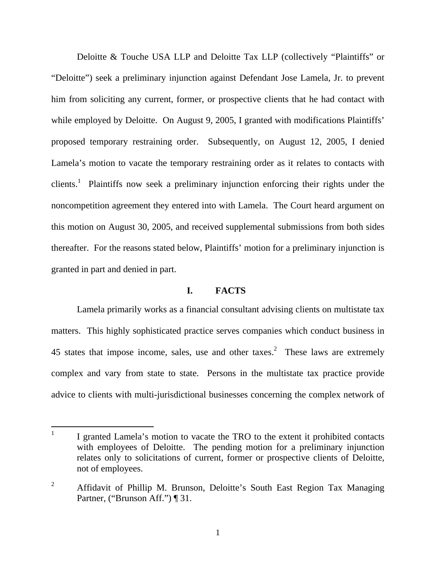Deloitte & Touche USA LLP and Deloitte Tax LLP (collectively "Plaintiffs" or "Deloitte") seek a preliminary injunction against Defendant Jose Lamela, Jr. to prevent him from soliciting any current, former, or prospective clients that he had contact with while employed by Deloitte. On August 9, 2005, I granted with modifications Plaintiffs' proposed temporary restraining order. Subsequently, on August 12, 2005, I denied Lamela's motion to vacate the temporary restraining order as it relates to contacts with clients.<sup>1</sup> Plaintiffs now seek a preliminary injunction enforcing their rights under the noncompetition agreement they entered into with Lamela. The Court heard argument on this motion on August 30, 2005, and received supplemental submissions from both sides thereafter. For the reasons stated below, Plaintiffs' motion for a preliminary injunction is granted in part and denied in part.

### **I. FACTS**

Lamela primarily works as a financial consultant advising clients on multistate tax matters. This highly sophisticated practice serves companies which conduct business in 45 states that impose income, sales, use and other taxes.<sup>2</sup> These laws are extremely complex and vary from state to state. Persons in the multistate tax practice provide advice to clients with multi-jurisdictional businesses concerning the complex network of

 $\overline{a}$ 1 I granted Lamela's motion to vacate the TRO to the extent it prohibited contacts with employees of Deloitte. The pending motion for a preliminary injunction relates only to solicitations of current, former or prospective clients of Deloitte, not of employees.

<sup>2</sup> Affidavit of Phillip M. Brunson, Deloitte's South East Region Tax Managing Partner, ("Brunson Aff.") ¶ 31.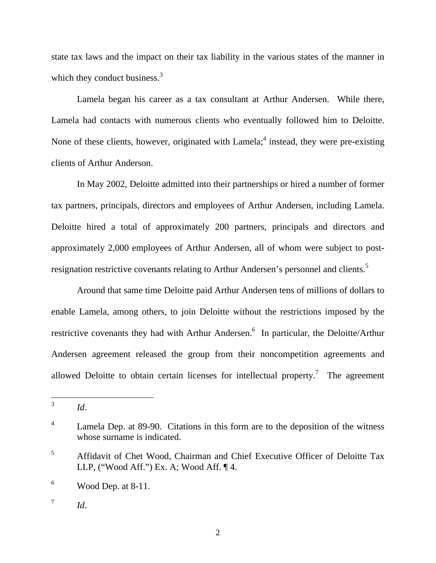state tax laws and the impact on their tax liability in the various states of the manner in which they conduct business. $3$ 

Lamela began his career as a tax consultant at Arthur Andersen. While there, Lamela had contacts with numerous clients who eventually followed him to Deloitte. None of these clients, however, originated with Lamela; $<sup>4</sup>$  instead, they were pre-existing</sup> clients of Arthur Anderson.

In May 2002, Deloitte admitted into their partnerships or hired a number of former tax partners, principals, directors and employees of Arthur Andersen, including Lamela. Deloitte hired a total of approximately 200 partners, principals and directors and approximately 2,000 employees of Arthur Andersen, all of whom were subject to postresignation restrictive covenants relating to Arthur Andersen's personnel and clients.<sup>5</sup>

Around that same time Deloitte paid Arthur Andersen tens of millions of dollars to enable Lamela, among others, to join Deloitte without the restrictions imposed by the restrictive covenants they had with Arthur Andersen.<sup>6</sup> In particular, the Deloitte/Arthur Andersen agreement released the group from their noncompetition agreements and allowed Deloitte to obtain certain licenses for intellectual property.<sup>7</sup> The agreement

 $\overline{3}$ <sup>3</sup> *Id*.

<sup>4</sup> Lamela Dep. at 89-90. Citations in this form are to the deposition of the witness whose surname is indicated.

<sup>5</sup> Affidavit of Chet Wood, Chairman and Chief Executive Officer of Deloitte Tax LLP, ("Wood Aff.") Ex. A; Wood Aff. ¶ 4.

<sup>6</sup> Wood Dep. at 8-11.

 $^7$  *Id.*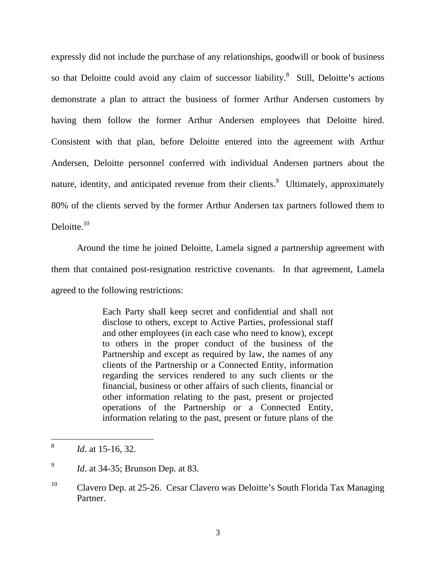expressly did not include the purchase of any relationships, goodwill or book of business so that Deloitte could avoid any claim of successor liability. $8$  Still, Deloitte's actions demonstrate a plan to attract the business of former Arthur Andersen customers by having them follow the former Arthur Andersen employees that Deloitte hired. Consistent with that plan, before Deloitte entered into the agreement with Arthur Andersen, Deloitte personnel conferred with individual Andersen partners about the nature, identity, and anticipated revenue from their clients.<sup>9</sup> Ultimately, approximately 80% of the clients served by the former Arthur Andersen tax partners followed them to Deloitte.<sup>10</sup>

Around the time he joined Deloitte, Lamela signed a partnership agreement with them that contained post-resignation restrictive covenants. In that agreement, Lamela agreed to the following restrictions:

> Each Party shall keep secret and confidential and shall not disclose to others, except to Active Parties, professional staff and other employees (in each case who need to know), except to others in the proper conduct of the business of the Partnership and except as required by law, the names of any clients of the Partnership or a Connected Entity, information regarding the services rendered to any such clients or the financial, business or other affairs of such clients, financial or other information relating to the past, present or projected operations of the Partnership or a Connected Entity, information relating to the past, present or future plans of the

 $\,8\,$ <sup>8</sup> *Id*. at 15-16, 32.

<sup>&</sup>lt;sup>9</sup> *Id.* at 34-35; Brunson Dep. at 83.

<sup>&</sup>lt;sup>10</sup> Clavero Dep. at 25-26. Cesar Clavero was Deloitte's South Florida Tax Managing Partner.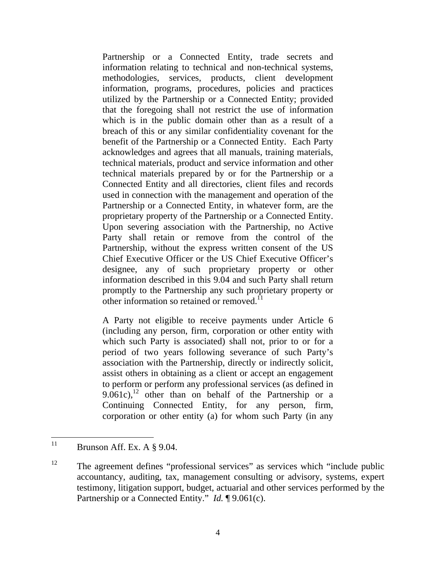Partnership or a Connected Entity, trade secrets and information relating to technical and non-technical systems, methodologies, services, products, client development information, programs, procedures, policies and practices utilized by the Partnership or a Connected Entity; provided that the foregoing shall not restrict the use of information which is in the public domain other than as a result of a breach of this or any similar confidentiality covenant for the benefit of the Partnership or a Connected Entity. Each Party acknowledges and agrees that all manuals, training materials, technical materials, product and service information and other technical materials prepared by or for the Partnership or a Connected Entity and all directories, client files and records used in connection with the management and operation of the Partnership or a Connected Entity, in whatever form, are the proprietary property of the Partnership or a Connected Entity. Upon severing association with the Partnership, no Active Party shall retain or remove from the control of the Partnership, without the express written consent of the US Chief Executive Officer or the US Chief Executive Officer's designee, any of such proprietary property or other information described in this 9.04 and such Party shall return promptly to the Partnership any such proprietary property or other information so retained or removed.<sup>11</sup>

A Party not eligible to receive payments under Article 6 (including any person, firm, corporation or other entity with which such Party is associated) shall not, prior to or for a period of two years following severance of such Party's association with the Partnership, directly or indirectly solicit, assist others in obtaining as a client or accept an engagement to perform or perform any professional services (as defined in  $9.061c$ ,<sup>12</sup> other than on behalf of the Partnership or a Continuing Connected Entity, for any person, firm, corporation or other entity (a) for whom such Party (in any

 $11$ Brunson Aff. Ex. A  $\S$  9.04.

<sup>&</sup>lt;sup>12</sup> The agreement defines "professional services" as services which "include public accountancy, auditing, tax, management consulting or advisory, systems, expert testimony, litigation support, budget, actuarial and other services performed by the Partnership or a Connected Entity." *Id.* ¶ 9.061(c).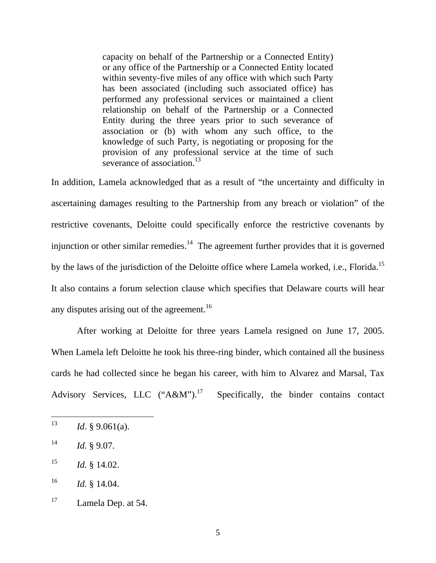capacity on behalf of the Partnership or a Connected Entity) or any office of the Partnership or a Connected Entity located within seventy-five miles of any office with which such Party has been associated (including such associated office) has performed any professional services or maintained a client relationship on behalf of the Partnership or a Connected Entity during the three years prior to such severance of association or (b) with whom any such office, to the knowledge of such Party, is negotiating or proposing for the provision of any professional service at the time of such severance of association.<sup>13</sup>

In addition, Lamela acknowledged that as a result of "the uncertainty and difficulty in ascertaining damages resulting to the Partnership from any breach or violation" of the restrictive covenants, Deloitte could specifically enforce the restrictive covenants by injunction or other similar remedies.<sup>14</sup> The agreement further provides that it is governed by the laws of the jurisdiction of the Deloitte office where Lamela worked, i.e., Florida.<sup>15</sup> It also contains a forum selection clause which specifies that Delaware courts will hear any disputes arising out of the agreement.<sup>16</sup>

After working at Deloitte for three years Lamela resigned on June 17, 2005. When Lamela left Deloitte he took his three-ring binder, which contained all the business cards he had collected since he began his career, with him to Alvarez and Marsal, Tax Advisory Services, LLC  $("A&M")$ .<sup>17</sup> Specifically, the binder contains contact

<sup>13</sup> <sup>13</sup> *Id*. § 9.061(a).

 $14$  *Id.* § 9.07.

 $15$  *Id.* § 14.02.

 $16$  *Id.* § 14.04.

<sup>&</sup>lt;sup>17</sup> Lamela Dep. at 54.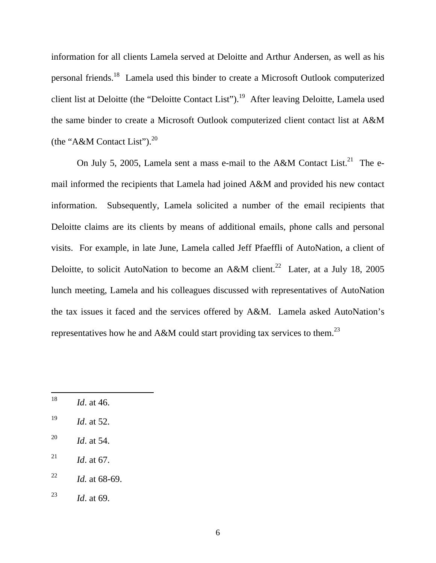information for all clients Lamela served at Deloitte and Arthur Andersen, as well as his personal friends.18 Lamela used this binder to create a Microsoft Outlook computerized client list at Deloitte (the "Deloitte Contact List").<sup>19</sup> After leaving Deloitte, Lamela used the same binder to create a Microsoft Outlook computerized client contact list at A&M (the "A&M Contact List"). $^{20}$ 

On July 5, 2005, Lamela sent a mass e-mail to the A&M Contact List.<sup>21</sup> The email informed the recipients that Lamela had joined A&M and provided his new contact information. Subsequently, Lamela solicited a number of the email recipients that Deloitte claims are its clients by means of additional emails, phone calls and personal visits. For example, in late June, Lamela called Jeff Pfaeffli of AutoNation, a client of Deloitte, to solicit AutoNation to become an A&M client.<sup>22</sup> Later, at a July 18, 2005 lunch meeting, Lamela and his colleagues discussed with representatives of AutoNation the tax issues it faced and the services offered by A&M. Lamela asked AutoNation's representatives how he and A&M could start providing tax services to them.<sup>23</sup>

- <sup>20</sup> *Id*. at 54.
- <sup>21</sup> *Id.* at 67.
- <sup>22</sup> *Id.* at 68-69.
- <sup>23</sup> *Id*. at 69.

<sup>18</sup> *Id.* at 46.

<sup>19</sup> *Id*. at 52.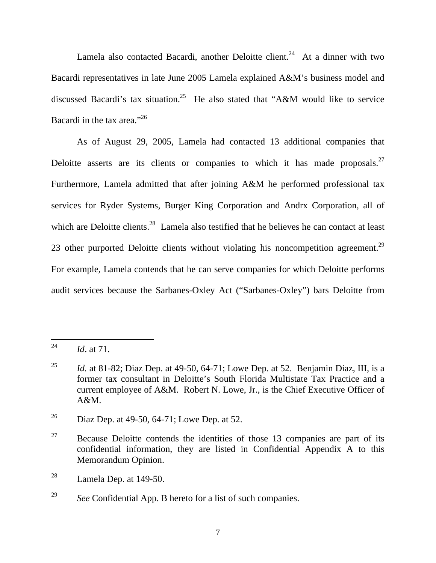Lamela also contacted Bacardi, another Deloitte client.<sup>24</sup> At a dinner with two Bacardi representatives in late June 2005 Lamela explained A&M's business model and discussed Bacardi's tax situation.25 He also stated that "A&M would like to service Bacardi in the tax area."26

As of August 29, 2005, Lamela had contacted 13 additional companies that Deloitte asserts are its clients or companies to which it has made proposals. $27$ Furthermore, Lamela admitted that after joining A&M he performed professional tax services for Ryder Systems, Burger King Corporation and Andrx Corporation, all of which are Deloitte clients.<sup>28</sup> Lamela also testified that he believes he can contact at least 23 other purported Deloitte clients without violating his noncompetition agreement.<sup>29</sup> For example, Lamela contends that he can serve companies for which Deloitte performs audit services because the Sarbanes-Oxley Act ("Sarbanes-Oxley") bars Deloitte from

 $\overline{a}$ 

<sup>24</sup> *Id*. at 71.

<sup>&</sup>lt;sup>25</sup> *Id.* at 81-82; Diaz Dep. at 49-50, 64-71; Lowe Dep. at 52. Benjamin Diaz, III, is a former tax consultant in Deloitte's South Florida Multistate Tax Practice and a current employee of A&M. Robert N. Lowe, Jr., is the Chief Executive Officer of  $A\&M$ .

<sup>&</sup>lt;sup>26</sup> Diaz Dep. at 49-50, 64-71; Lowe Dep. at 52.

<sup>&</sup>lt;sup>27</sup> Because Deloitte contends the identities of those 13 companies are part of its confidential information, they are listed in Confidential Appendix A to this Memorandum Opinion.

 $28$  Lamela Dep. at 149-50.

<sup>29</sup> *See* Confidential App. B hereto for a list of such companies.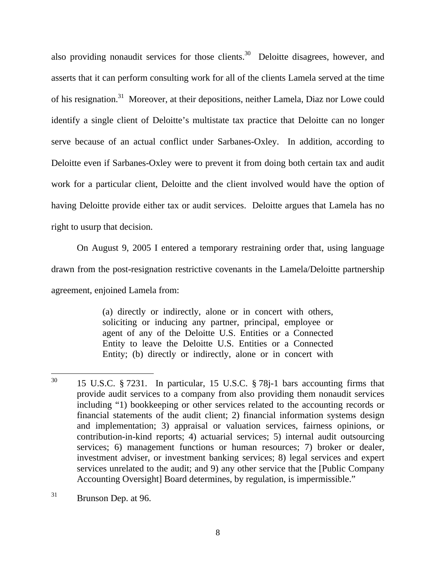also providing nonaudit services for those clients.<sup>30</sup> Deloitte disagrees, however, and asserts that it can perform consulting work for all of the clients Lamela served at the time of his resignation.31 Moreover, at their depositions, neither Lamela, Diaz nor Lowe could identify a single client of Deloitte's multistate tax practice that Deloitte can no longer serve because of an actual conflict under Sarbanes-Oxley. In addition, according to Deloitte even if Sarbanes-Oxley were to prevent it from doing both certain tax and audit work for a particular client, Deloitte and the client involved would have the option of having Deloitte provide either tax or audit services. Deloitte argues that Lamela has no right to usurp that decision.

On August 9, 2005 I entered a temporary restraining order that, using language drawn from the post-resignation restrictive covenants in the Lamela/Deloitte partnership agreement, enjoined Lamela from:

> (a) directly or indirectly, alone or in concert with others, soliciting or inducing any partner, principal, employee or agent of any of the Deloitte U.S. Entities or a Connected Entity to leave the Deloitte U.S. Entities or a Connected Entity; (b) directly or indirectly, alone or in concert with

<sup>30</sup> 15 U.S.C.  $\S$  7231. In particular, 15 U.S.C.  $\S$  78j-1 bars accounting firms that provide audit services to a company from also providing them nonaudit services including "1) bookkeeping or other services related to the accounting records or financial statements of the audit client; 2) financial information systems design and implementation; 3) appraisal or valuation services, fairness opinions, or contribution-in-kind reports; 4) actuarial services; 5) internal audit outsourcing services; 6) management functions or human resources; 7) broker or dealer, investment adviser, or investment banking services; 8) legal services and expert services unrelated to the audit; and 9) any other service that the [Public Company Accounting Oversight] Board determines, by regulation, is impermissible."

<sup>31</sup> Brunson Dep. at 96.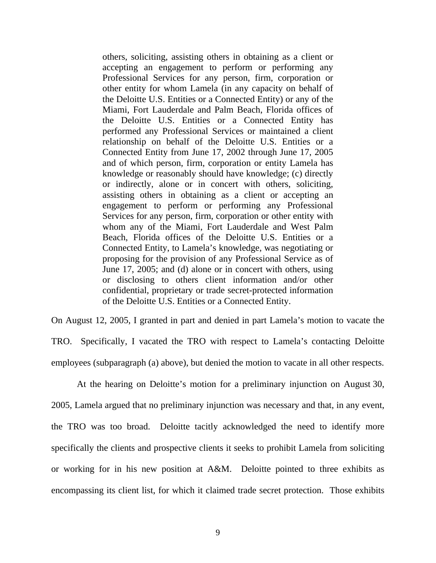others, soliciting, assisting others in obtaining as a client or accepting an engagement to perform or performing any Professional Services for any person, firm, corporation or other entity for whom Lamela (in any capacity on behalf of the Deloitte U.S. Entities or a Connected Entity) or any of the Miami, Fort Lauderdale and Palm Beach, Florida offices of the Deloitte U.S. Entities or a Connected Entity has performed any Professional Services or maintained a client relationship on behalf of the Deloitte U.S. Entities or a Connected Entity from June 17, 2002 through June 17, 2005 and of which person, firm, corporation or entity Lamela has knowledge or reasonably should have knowledge; (c) directly or indirectly, alone or in concert with others, soliciting, assisting others in obtaining as a client or accepting an engagement to perform or performing any Professional Services for any person, firm, corporation or other entity with whom any of the Miami, Fort Lauderdale and West Palm Beach, Florida offices of the Deloitte U.S. Entities or a Connected Entity, to Lamela's knowledge, was negotiating or proposing for the provision of any Professional Service as of June 17, 2005; and (d) alone or in concert with others, using or disclosing to others client information and/or other confidential, proprietary or trade secret-protected information of the Deloitte U.S. Entities or a Connected Entity.

On August 12, 2005, I granted in part and denied in part Lamela's motion to vacate the TRO. Specifically, I vacated the TRO with respect to Lamela's contacting Deloitte employees (subparagraph (a) above), but denied the motion to vacate in all other respects.

At the hearing on Deloitte's motion for a preliminary injunction on August 30, 2005, Lamela argued that no preliminary injunction was necessary and that, in any event, the TRO was too broad. Deloitte tacitly acknowledged the need to identify more specifically the clients and prospective clients it seeks to prohibit Lamela from soliciting or working for in his new position at A&M. Deloitte pointed to three exhibits as encompassing its client list, for which it claimed trade secret protection. Those exhibits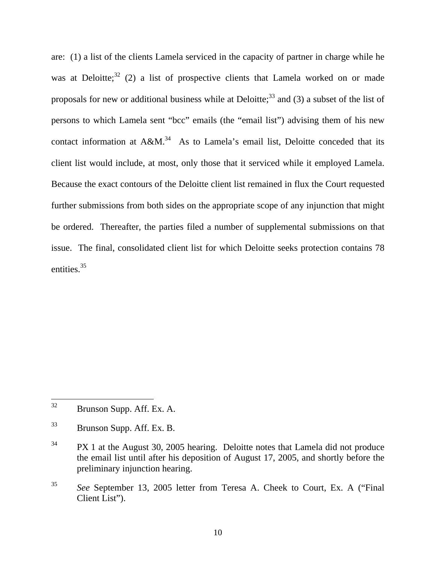are: (1) a list of the clients Lamela serviced in the capacity of partner in charge while he was at Deloitte;  $32$  (2) a list of prospective clients that Lamela worked on or made proposals for new or additional business while at Deloitte;<sup>33</sup> and (3) a subset of the list of persons to which Lamela sent "bcc" emails (the "email list") advising them of his new contact information at  $A\&M^{34}$ . As to Lamela's email list, Deloitte conceded that its client list would include, at most, only those that it serviced while it employed Lamela. Because the exact contours of the Deloitte client list remained in flux the Court requested further submissions from both sides on the appropriate scope of any injunction that might be ordered. Thereafter, the parties filed a number of supplemental submissions on that issue. The final, consolidated client list for which Deloitte seeks protection contains 78 entities.<sup>35</sup>

<sup>32</sup> Brunson Supp. Aff. Ex. A.

<sup>33</sup> Brunson Supp. Aff. Ex. B.

<sup>&</sup>lt;sup>34</sup> PX 1 at the August 30, 2005 hearing. Deloitte notes that Lamela did not produce the email list until after his deposition of August 17, 2005, and shortly before the preliminary injunction hearing.

<sup>35</sup> *See* September 13, 2005 letter from Teresa A. Cheek to Court, Ex. A ("Final Client List").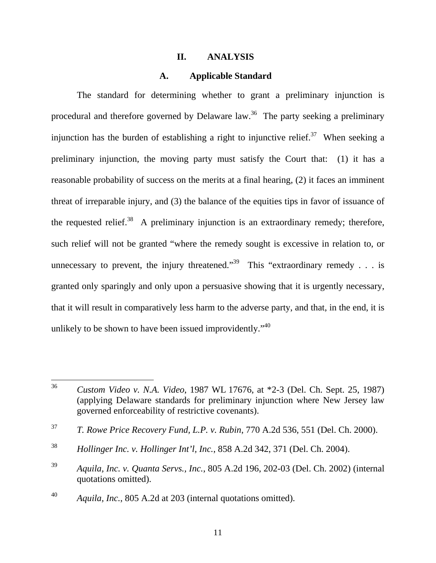#### **II. ANALYSIS**

#### **A. Applicable Standard**

The standard for determining whether to grant a preliminary injunction is procedural and therefore governed by Delaware law.<sup>36</sup> The party seeking a preliminary injunction has the burden of establishing a right to injunctive relief.<sup>37</sup> When seeking a preliminary injunction, the moving party must satisfy the Court that: (1) it has a reasonable probability of success on the merits at a final hearing, (2) it faces an imminent threat of irreparable injury, and (3) the balance of the equities tips in favor of issuance of the requested relief.<sup>38</sup> A preliminary injunction is an extraordinary remedy; therefore, such relief will not be granted "where the remedy sought is excessive in relation to, or unnecessary to prevent, the injury threatened."<sup>39</sup> This "extraordinary remedy . . . is granted only sparingly and only upon a persuasive showing that it is urgently necessary, that it will result in comparatively less harm to the adverse party, and that, in the end, it is unlikely to be shown to have been issued improvidently.<sup>"40</sup>

<sup>36</sup> <sup>36</sup> *Custom Video v. N.A. Video*, 1987 WL 17676, at \*2-3 (Del. Ch. Sept. 25, 1987) (applying Delaware standards for preliminary injunction where New Jersey law governed enforceability of restrictive covenants).

<sup>37</sup> *T. Rowe Price Recovery Fund, L.P. v. Rubin*, 770 A.2d 536, 551 (Del. Ch. 2000).

<sup>38</sup> *Hollinger Inc. v. Hollinger Int'l, Inc.*, 858 A.2d 342, 371 (Del. Ch. 2004).

<sup>39</sup> *Aquila, Inc. v. Quanta Servs., Inc.*, 805 A.2d 196, 202-03 (Del. Ch. 2002) (internal quotations omitted).

<sup>40</sup> *Aquila, Inc.*, 805 A.2d at 203 (internal quotations omitted).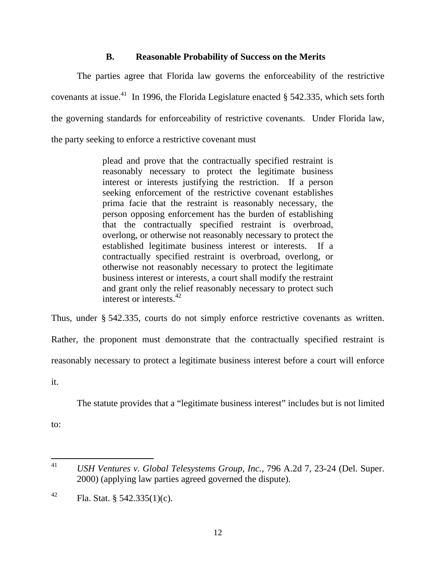## **B. Reasonable Probability of Success on the Merits**

The parties agree that Florida law governs the enforceability of the restrictive covenants at issue.<sup>41</sup> In 1996, the Florida Legislature enacted  $\S$  542.335, which sets forth the governing standards for enforceability of restrictive covenants. Under Florida law, the party seeking to enforce a restrictive covenant must

> plead and prove that the contractually specified restraint is reasonably necessary to protect the legitimate business interest or interests justifying the restriction. If a person seeking enforcement of the restrictive covenant establishes prima facie that the restraint is reasonably necessary, the person opposing enforcement has the burden of establishing that the contractually specified restraint is overbroad, overlong, or otherwise not reasonably necessary to protect the established legitimate business interest or interests. If a contractually specified restraint is overbroad, overlong, or otherwise not reasonably necessary to protect the legitimate business interest or interests, a court shall modify the restraint and grant only the relief reasonably necessary to protect such interest or interests  $42$

Thus, under § 542.335, courts do not simply enforce restrictive covenants as written.

Rather, the proponent must demonstrate that the contractually specified restraint is

reasonably necessary to protect a legitimate business interest before a court will enforce

it.

The statute provides that a "legitimate business interest" includes but is not limited

to:

<sup>41</sup> <sup>41</sup> *USH Ventures v. Global Telesystems Group, Inc.*, 796 A.2d 7, 23-24 (Del. Super. 2000) (applying law parties agreed governed the dispute).

<sup>&</sup>lt;sup>42</sup> Fla. Stat. § 542.335(1)(c).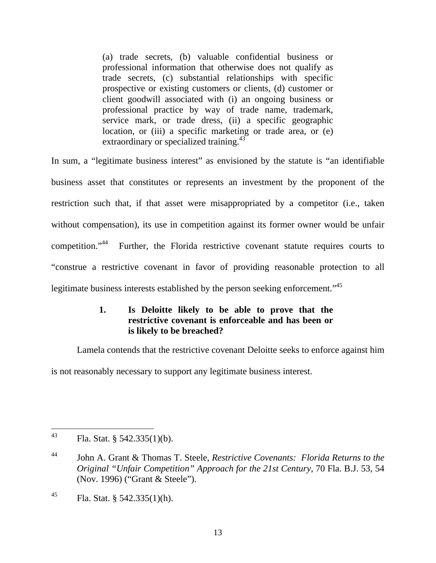(a) trade secrets, (b) valuable confidential business or professional information that otherwise does not qualify as trade secrets, (c) substantial relationships with specific prospective or existing customers or clients, (d) customer or client goodwill associated with (i) an ongoing business or professional practice by way of trade name, trademark, service mark, or trade dress, (ii) a specific geographic location, or (iii) a specific marketing or trade area, or (e) extraordinary or specialized training.<sup>43</sup>

In sum, a "legitimate business interest" as envisioned by the statute is "an identifiable business asset that constitutes or represents an investment by the proponent of the restriction such that, if that asset were misappropriated by a competitor (i.e., taken without compensation), its use in competition against its former owner would be unfair competition."44 Further, the Florida restrictive covenant statute requires courts to "construe a restrictive covenant in favor of providing reasonable protection to all legitimate business interests established by the person seeking enforcement."<sup>45</sup>

# **1. Is Deloitte likely to be able to prove that the restrictive covenant is enforceable and has been or is likely to be breached?**

Lamela contends that the restrictive covenant Deloitte seeks to enforce against him is not reasonably necessary to support any legitimate business interest.

<sup>43</sup> Fla. Stat. § 542.335(1)(b).

<sup>44</sup> John A. Grant & Thomas T. Steele, *Restrictive Covenants: Florida Returns to the Original "Unfair Competition" Approach for the 21st Century*, 70 Fla. B.J. 53, 54 (Nov. 1996) ("Grant & Steele").

<sup>&</sup>lt;sup>45</sup> Fla. Stat. § 542.335(1)(h).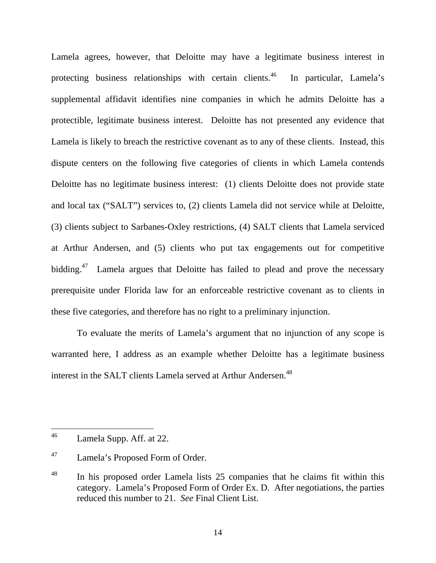Lamela agrees, however, that Deloitte may have a legitimate business interest in protecting business relationships with certain clients.<sup>46</sup> In particular, Lamela's supplemental affidavit identifies nine companies in which he admits Deloitte has a protectible, legitimate business interest. Deloitte has not presented any evidence that Lamela is likely to breach the restrictive covenant as to any of these clients. Instead, this dispute centers on the following five categories of clients in which Lamela contends Deloitte has no legitimate business interest: (1) clients Deloitte does not provide state and local tax ("SALT") services to, (2) clients Lamela did not service while at Deloitte, (3) clients subject to Sarbanes-Oxley restrictions, (4) SALT clients that Lamela serviced at Arthur Andersen, and (5) clients who put tax engagements out for competitive bidding.<sup>47</sup> Lamela argues that Deloitte has failed to plead and prove the necessary prerequisite under Florida law for an enforceable restrictive covenant as to clients in these five categories, and therefore has no right to a preliminary injunction.

 To evaluate the merits of Lamela's argument that no injunction of any scope is warranted here, I address as an example whether Deloitte has a legitimate business interest in the SALT clients Lamela served at Arthur Andersen.<sup>48</sup>

<sup>46</sup> Lamela Supp. Aff. at 22.

<sup>47</sup> Lamela's Proposed Form of Order.

<sup>&</sup>lt;sup>48</sup> In his proposed order Lamela lists 25 companies that he claims fit within this category. Lamela's Proposed Form of Order Ex. D. After negotiations, the parties reduced this number to 21. *See* Final Client List.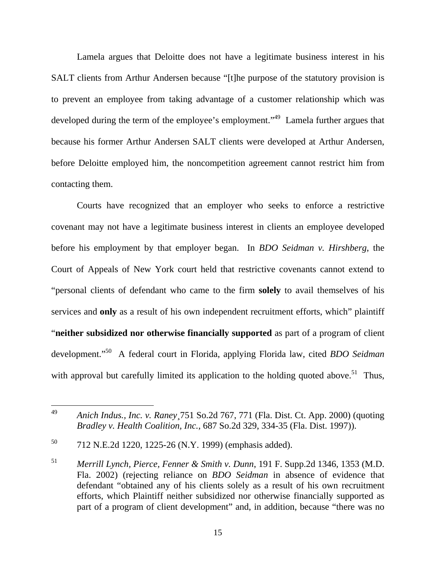Lamela argues that Deloitte does not have a legitimate business interest in his SALT clients from Arthur Andersen because "[t]he purpose of the statutory provision is to prevent an employee from taking advantage of a customer relationship which was developed during the term of the employee's employment."<sup>49</sup> Lamela further argues that because his former Arthur Andersen SALT clients were developed at Arthur Andersen, before Deloitte employed him, the noncompetition agreement cannot restrict him from contacting them.

Courts have recognized that an employer who seeks to enforce a restrictive covenant may not have a legitimate business interest in clients an employee developed before his employment by that employer began. In *BDO Seidman v. Hirshberg*, the Court of Appeals of New York court held that restrictive covenants cannot extend to "personal clients of defendant who came to the firm **solely** to avail themselves of his services and **only** as a result of his own independent recruitment efforts, which" plaintiff "**neither subsidized nor otherwise financially supported** as part of a program of client development."50 A federal court in Florida, applying Florida law, cited *BDO Seidman*  with approval but carefully limited its application to the holding quoted above.<sup>51</sup> Thus,

<sup>49</sup> <sup>49</sup> *Anich Indus., Inc. v. Raney*¸751 So.2d 767, 771 (Fla. Dist. Ct. App. 2000) (quoting *Bradley v. Health Coalition, Inc.*, 687 So.2d 329, 334-35 (Fla. Dist. 1997)).

<sup>50 712</sup> N.E.2d 1220, 1225-26 (N.Y. 1999) (emphasis added).

<sup>51</sup> *Merrill Lynch, Pierce, Fenner & Smith v. Dunn*, 191 F. Supp.2d 1346, 1353 (M.D. Fla. 2002) (rejecting reliance on *BDO Seidman* in absence of evidence that defendant "obtained any of his clients solely as a result of his own recruitment efforts, which Plaintiff neither subsidized nor otherwise financially supported as part of a program of client development" and, in addition, because "there was no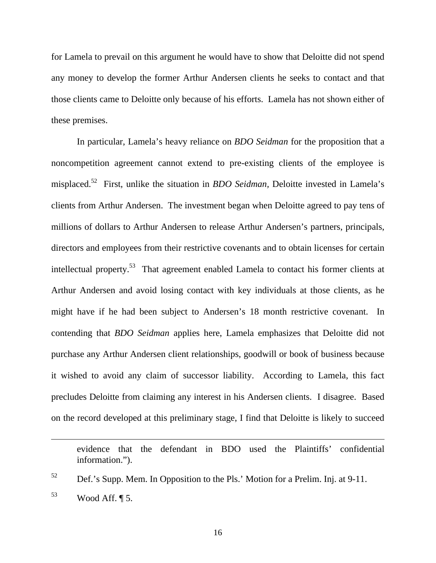for Lamela to prevail on this argument he would have to show that Deloitte did not spend any money to develop the former Arthur Andersen clients he seeks to contact and that those clients came to Deloitte only because of his efforts. Lamela has not shown either of these premises.

In particular, Lamela's heavy reliance on *BDO Seidman* for the proposition that a noncompetition agreement cannot extend to pre-existing clients of the employee is misplaced.52 First, unlike the situation in *BDO Seidman,* Deloitte invested in Lamela's clients from Arthur Andersen. The investment began when Deloitte agreed to pay tens of millions of dollars to Arthur Andersen to release Arthur Andersen's partners, principals, directors and employees from their restrictive covenants and to obtain licenses for certain intellectual property.<sup>53</sup> That agreement enabled Lamela to contact his former clients at Arthur Andersen and avoid losing contact with key individuals at those clients, as he might have if he had been subject to Andersen's 18 month restrictive covenant. In contending that *BDO Seidman* applies here, Lamela emphasizes that Deloitte did not purchase any Arthur Andersen client relationships, goodwill or book of business because it wished to avoid any claim of successor liability. According to Lamela, this fact precludes Deloitte from claiming any interest in his Andersen clients. I disagree. Based on the record developed at this preliminary stage, I find that Deloitte is likely to succeed

evidence that the defendant in BDO used the Plaintiffs' confidential information.").

 $\overline{a}$ 

 $52$  Def.'s Supp. Mem. In Opposition to the Pls.' Motion for a Prelim. Inj. at 9-11.

 $53$  Wood Aff.  $\P$  5.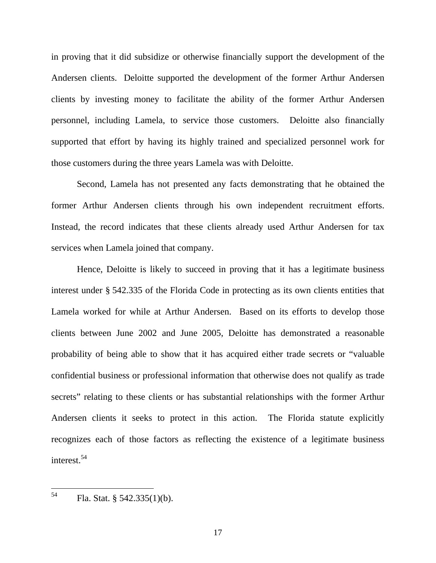in proving that it did subsidize or otherwise financially support the development of the Andersen clients. Deloitte supported the development of the former Arthur Andersen clients by investing money to facilitate the ability of the former Arthur Andersen personnel, including Lamela, to service those customers. Deloitte also financially supported that effort by having its highly trained and specialized personnel work for those customers during the three years Lamela was with Deloitte.

Second, Lamela has not presented any facts demonstrating that he obtained the former Arthur Andersen clients through his own independent recruitment efforts. Instead, the record indicates that these clients already used Arthur Andersen for tax services when Lamela joined that company.

Hence, Deloitte is likely to succeed in proving that it has a legitimate business interest under § 542.335 of the Florida Code in protecting as its own clients entities that Lamela worked for while at Arthur Andersen. Based on its efforts to develop those clients between June 2002 and June 2005, Deloitte has demonstrated a reasonable probability of being able to show that it has acquired either trade secrets or "valuable confidential business or professional information that otherwise does not qualify as trade secrets" relating to these clients or has substantial relationships with the former Arthur Andersen clients it seeks to protect in this action. The Florida statute explicitly recognizes each of those factors as reflecting the existence of a legitimate business interest.<sup>54</sup>

54 Fla. Stat.  $§$  542.335(1)(b).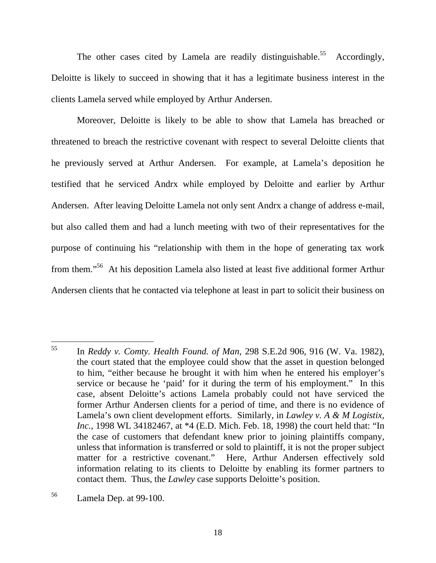The other cases cited by Lamela are readily distinguishable.<sup>55</sup> Accordingly, Deloitte is likely to succeed in showing that it has a legitimate business interest in the clients Lamela served while employed by Arthur Andersen.

Moreover, Deloitte is likely to be able to show that Lamela has breached or threatened to breach the restrictive covenant with respect to several Deloitte clients that he previously served at Arthur Andersen. For example, at Lamela's deposition he testified that he serviced Andrx while employed by Deloitte and earlier by Arthur Andersen. After leaving Deloitte Lamela not only sent Andrx a change of address e-mail, but also called them and had a lunch meeting with two of their representatives for the purpose of continuing his "relationship with them in the hope of generating tax work from them."56 At his deposition Lamela also listed at least five additional former Arthur Andersen clients that he contacted via telephone at least in part to solicit their business on

<sup>55</sup> 55 In *Reddy v. Comty. Health Found. of Man*, 298 S.E.2d 906, 916 (W. Va. 1982), the court stated that the employee could show that the asset in question belonged to him, "either because he brought it with him when he entered his employer's service or because he 'paid' for it during the term of his employment." In this case, absent Deloitte's actions Lamela probably could not have serviced the former Arthur Andersen clients for a period of time, and there is no evidence of Lamela's own client development efforts. Similarly, in *Lawley v. A & M Logistix, Inc.*, 1998 WL 34182467, at \*4 (E.D. Mich. Feb. 18, 1998) the court held that: "In the case of customers that defendant knew prior to joining plaintiffs company, unless that information is transferred or sold to plaintiff, it is not the proper subject matter for a restrictive covenant." Here, Arthur Andersen effectively sold information relating to its clients to Deloitte by enabling its former partners to contact them. Thus, the *Lawley* case supports Deloitte's position.

<sup>56</sup> Lamela Dep. at 99-100.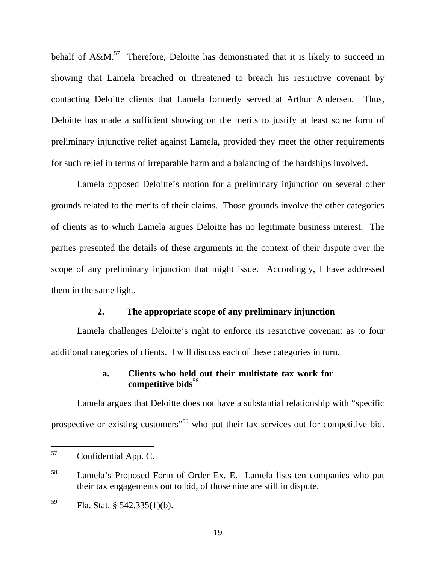behalf of  $A\&M$ <sup>57</sup>. Therefore, Deloitte has demonstrated that it is likely to succeed in showing that Lamela breached or threatened to breach his restrictive covenant by contacting Deloitte clients that Lamela formerly served at Arthur Andersen. Thus, Deloitte has made a sufficient showing on the merits to justify at least some form of preliminary injunctive relief against Lamela, provided they meet the other requirements for such relief in terms of irreparable harm and a balancing of the hardships involved.

Lamela opposed Deloitte's motion for a preliminary injunction on several other grounds related to the merits of their claims. Those grounds involve the other categories of clients as to which Lamela argues Deloitte has no legitimate business interest. The parties presented the details of these arguments in the context of their dispute over the scope of any preliminary injunction that might issue. Accordingly, I have addressed them in the same light.

### **2. The appropriate scope of any preliminary injunction**

Lamela challenges Deloitte's right to enforce its restrictive covenant as to four additional categories of clients. I will discuss each of these categories in turn.

### **a. Clients who held out their multistate tax work for**  competitive bids<sup>58</sup>

Lamela argues that Deloitte does not have a substantial relationship with "specific prospective or existing customers<sup>"59</sup> who put their tax services out for competitive bid.

<sup>57</sup> Confidential App. C.

<sup>58</sup> Lamela's Proposed Form of Order Ex. E. Lamela lists ten companies who put their tax engagements out to bid, of those nine are still in dispute.

<sup>59</sup> Fla. Stat. § 542.335(1)(b).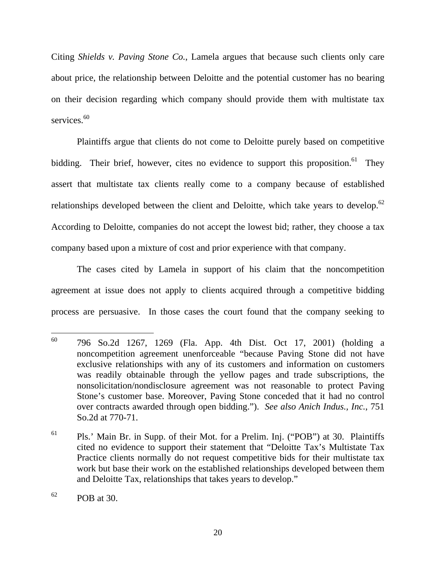Citing *Shields v. Paving Stone Co.*, Lamela argues that because such clients only care about price, the relationship between Deloitte and the potential customer has no bearing on their decision regarding which company should provide them with multistate tax services.<sup>60</sup>

Plaintiffs argue that clients do not come to Deloitte purely based on competitive bidding. Their brief, however, cites no evidence to support this proposition.<sup>61</sup> They assert that multistate tax clients really come to a company because of established relationships developed between the client and Deloitte, which take years to develop.<sup>62</sup> According to Deloitte, companies do not accept the lowest bid; rather, they choose a tax company based upon a mixture of cost and prior experience with that company.

The cases cited by Lamela in support of his claim that the noncompetition agreement at issue does not apply to clients acquired through a competitive bidding process are persuasive. In those cases the court found that the company seeking to

<sup>60</sup> 60 796 So.2d 1267, 1269 (Fla. App. 4th Dist. Oct 17, 2001) (holding a noncompetition agreement unenforceable "because Paving Stone did not have exclusive relationships with any of its customers and information on customers was readily obtainable through the yellow pages and trade subscriptions, the nonsolicitation/nondisclosure agreement was not reasonable to protect Paving Stone's customer base. Moreover, Paving Stone conceded that it had no control over contracts awarded through open bidding."). *See also Anich Indus., Inc.*, 751 So.2d at 770-71.

 $61$  Pls.' Main Br. in Supp. of their Mot. for a Prelim. Inj. ("POB") at 30. Plaintiffs cited no evidence to support their statement that "Deloitte Tax's Multistate Tax Practice clients normally do not request competitive bids for their multistate tax work but base their work on the established relationships developed between them and Deloitte Tax, relationships that takes years to develop."

 $^{62}$  POB at 30.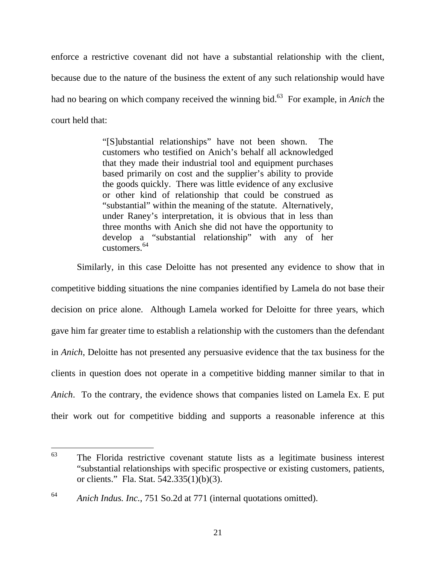enforce a restrictive covenant did not have a substantial relationship with the client, because due to the nature of the business the extent of any such relationship would have had no bearing on which company received the winning bid.<sup>63</sup> For example, in *Anich* the court held that:

> "[S]ubstantial relationships" have not been shown. The customers who testified on Anich's behalf all acknowledged that they made their industrial tool and equipment purchases based primarily on cost and the supplier's ability to provide the goods quickly. There was little evidence of any exclusive or other kind of relationship that could be construed as "substantial" within the meaning of the statute. Alternatively, under Raney's interpretation, it is obvious that in less than three months with Anich she did not have the opportunity to develop a "substantial relationship" with any of her customers $64$

Similarly, in this case Deloitte has not presented any evidence to show that in competitive bidding situations the nine companies identified by Lamela do not base their decision on price alone. Although Lamela worked for Deloitte for three years, which gave him far greater time to establish a relationship with the customers than the defendant in *Anich*, Deloitte has not presented any persuasive evidence that the tax business for the clients in question does not operate in a competitive bidding manner similar to that in *Anich*. To the contrary, the evidence shows that companies listed on Lamela Ex. E put their work out for competitive bidding and supports a reasonable inference at this

<sup>63</sup> The Florida restrictive covenant statute lists as a legitimate business interest "substantial relationships with specific prospective or existing customers, patients, or clients." Fla. Stat. 542.335(1)(b)(3).

<sup>64</sup> *Anich Indus. Inc.*, 751 So.2d at 771 (internal quotations omitted).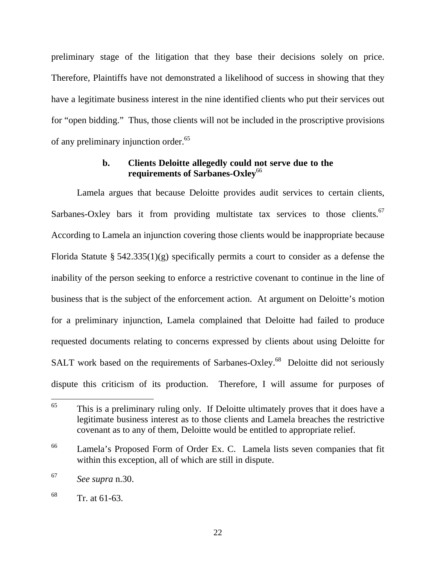preliminary stage of the litigation that they base their decisions solely on price. Therefore, Plaintiffs have not demonstrated a likelihood of success in showing that they have a legitimate business interest in the nine identified clients who put their services out for "open bidding." Thus, those clients will not be included in the proscriptive provisions of any preliminary injunction order.<sup>65</sup>

### **b. Clients Deloitte allegedly could not serve due to the requirements of Sarbanes-Oxley**<sup>66</sup>

Lamela argues that because Deloitte provides audit services to certain clients, Sarbanes-Oxley bars it from providing multistate tax services to those clients.<sup>67</sup> According to Lamela an injunction covering those clients would be inappropriate because Florida Statute § 542.335(1)(g) specifically permits a court to consider as a defense the inability of the person seeking to enforce a restrictive covenant to continue in the line of business that is the subject of the enforcement action. At argument on Deloitte's motion for a preliminary injunction, Lamela complained that Deloitte had failed to produce requested documents relating to concerns expressed by clients about using Deloitte for SALT work based on the requirements of Sarbanes-Oxley.<sup>68</sup> Deloitte did not seriously dispute this criticism of its production. Therefore, I will assume for purposes of

<sup>65</sup> This is a preliminary ruling only. If Deloitte ultimately proves that it does have a legitimate business interest as to those clients and Lamela breaches the restrictive covenant as to any of them, Deloitte would be entitled to appropriate relief.

<sup>66</sup> Lamela's Proposed Form of Order Ex. C. Lamela lists seven companies that fit within this exception, all of which are still in dispute.

<sup>67</sup> *See supra* n.30.

 $^{68}$  Tr. at 61-63.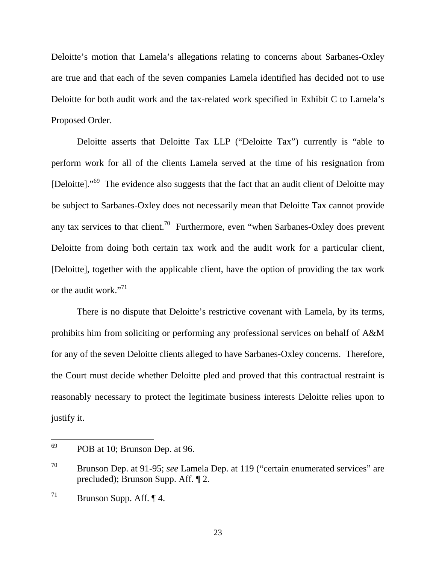Deloitte's motion that Lamela's allegations relating to concerns about Sarbanes-Oxley are true and that each of the seven companies Lamela identified has decided not to use Deloitte for both audit work and the tax-related work specified in Exhibit C to Lamela's Proposed Order.

Deloitte asserts that Deloitte Tax LLP ("Deloitte Tax") currently is "able to perform work for all of the clients Lamela served at the time of his resignation from [Deloitte]. $10^{69}$  The evidence also suggests that the fact that an audit client of Deloitte may be subject to Sarbanes-Oxley does not necessarily mean that Deloitte Tax cannot provide any tax services to that client.<sup>70</sup> Furthermore, even "when Sarbanes-Oxley does prevent Deloitte from doing both certain tax work and the audit work for a particular client, [Deloitte], together with the applicable client, have the option of providing the tax work or the audit work."<sup>71</sup>

There is no dispute that Deloitte's restrictive covenant with Lamela, by its terms, prohibits him from soliciting or performing any professional services on behalf of A&M for any of the seven Deloitte clients alleged to have Sarbanes-Oxley concerns. Therefore, the Court must decide whether Deloitte pled and proved that this contractual restraint is reasonably necessary to protect the legitimate business interests Deloitte relies upon to justify it.

<sup>69</sup> POB at 10; Brunson Dep. at 96.

<sup>70</sup> Brunson Dep. at 91-95; *see* Lamela Dep. at 119 ("certain enumerated services" are precluded); Brunson Supp. Aff. ¶ 2.

<sup>&</sup>lt;sup>71</sup> Brunson Supp. Aff.  $\P$  4.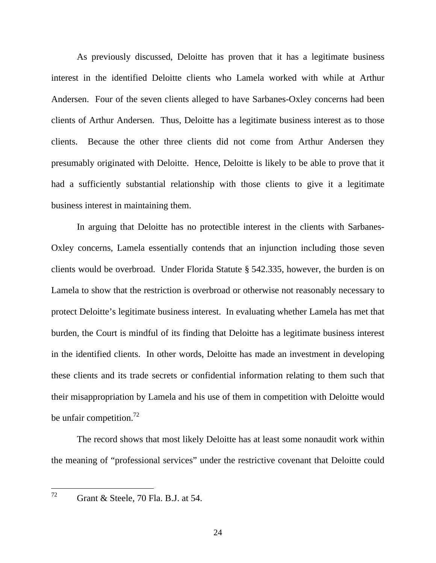As previously discussed, Deloitte has proven that it has a legitimate business interest in the identified Deloitte clients who Lamela worked with while at Arthur Andersen. Four of the seven clients alleged to have Sarbanes-Oxley concerns had been clients of Arthur Andersen. Thus, Deloitte has a legitimate business interest as to those clients. Because the other three clients did not come from Arthur Andersen they presumably originated with Deloitte. Hence, Deloitte is likely to be able to prove that it had a sufficiently substantial relationship with those clients to give it a legitimate business interest in maintaining them.

In arguing that Deloitte has no protectible interest in the clients with Sarbanes-Oxley concerns, Lamela essentially contends that an injunction including those seven clients would be overbroad. Under Florida Statute § 542.335, however, the burden is on Lamela to show that the restriction is overbroad or otherwise not reasonably necessary to protect Deloitte's legitimate business interest. In evaluating whether Lamela has met that burden, the Court is mindful of its finding that Deloitte has a legitimate business interest in the identified clients. In other words, Deloitte has made an investment in developing these clients and its trade secrets or confidential information relating to them such that their misappropriation by Lamela and his use of them in competition with Deloitte would be unfair competition.<sup>72</sup>

 The record shows that most likely Deloitte has at least some nonaudit work within the meaning of "professional services" under the restrictive covenant that Deloitte could

 $72.$ 

Grant & Steele, 70 Fla. B.J. at 54.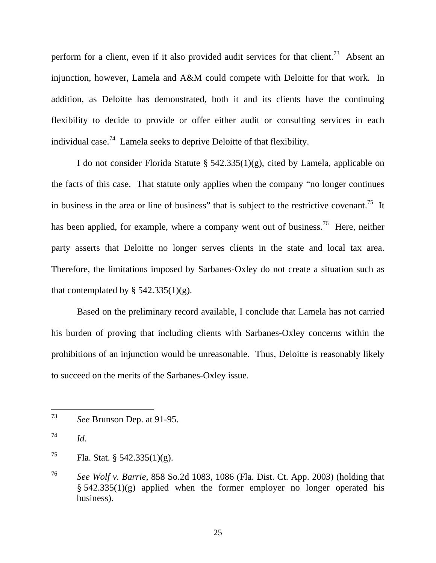perform for a client, even if it also provided audit services for that client.<sup>73</sup> Absent an injunction, however, Lamela and A&M could compete with Deloitte for that work. In addition, as Deloitte has demonstrated, both it and its clients have the continuing flexibility to decide to provide or offer either audit or consulting services in each individual case.<sup>74</sup> Lamela seeks to deprive Deloitte of that flexibility.

I do not consider Florida Statute §  $542.335(1)(g)$ , cited by Lamela, applicable on the facts of this case. That statute only applies when the company "no longer continues in business in the area or line of business" that is subject to the restrictive covenant.<sup>75</sup> It has been applied, for example, where a company went out of business.<sup>76</sup> Here, neither party asserts that Deloitte no longer serves clients in the state and local tax area. Therefore, the limitations imposed by Sarbanes-Oxley do not create a situation such as that contemplated by  $\S$  542.335(1)(g).

Based on the preliminary record available, I conclude that Lamela has not carried his burden of proving that including clients with Sarbanes-Oxley concerns within the prohibitions of an injunction would be unreasonable. Thus, Deloitte is reasonably likely to succeed on the merits of the Sarbanes-Oxley issue.

<sup>73</sup> See Brunson Dep. at 91-95.

 $^{74}$  *Id.* 

<sup>&</sup>lt;sup>75</sup> Fla. Stat. § 542.335(1)(g).

<sup>76</sup> *See Wolf v. Barrie*, 858 So.2d 1083, 1086 (Fla. Dist. Ct. App. 2003) (holding that  $§ 542.335(1)(g)$  applied when the former employer no longer operated his business).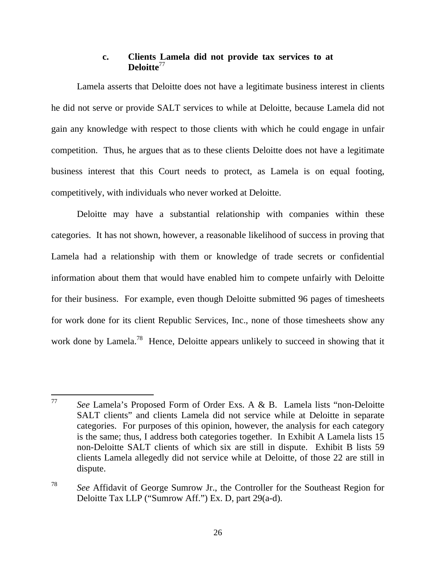#### **c. Clients Lamela did not provide tax services to at Deloitte**<sup>77</sup>

Lamela asserts that Deloitte does not have a legitimate business interest in clients he did not serve or provide SALT services to while at Deloitte, because Lamela did not gain any knowledge with respect to those clients with which he could engage in unfair competition. Thus, he argues that as to these clients Deloitte does not have a legitimate business interest that this Court needs to protect, as Lamela is on equal footing, competitively, with individuals who never worked at Deloitte.

Deloitte may have a substantial relationship with companies within these categories. It has not shown, however, a reasonable likelihood of success in proving that Lamela had a relationship with them or knowledge of trade secrets or confidential information about them that would have enabled him to compete unfairly with Deloitte for their business. For example, even though Deloitte submitted 96 pages of timesheets for work done for its client Republic Services, Inc., none of those timesheets show any work done by Lamela.<sup>78</sup> Hence, Deloitte appears unlikely to succeed in showing that it

<sup>77</sup> See Lamela's Proposed Form of Order Exs. A & B. Lamela lists "non-Deloitte SALT clients" and clients Lamela did not service while at Deloitte in separate categories. For purposes of this opinion, however, the analysis for each category is the same; thus, I address both categories together. In Exhibit A Lamela lists 15 non-Deloitte SALT clients of which six are still in dispute. Exhibit B lists 59 clients Lamela allegedly did not service while at Deloitte, of those 22 are still in dispute.

<sup>78</sup> *See* Affidavit of George Sumrow Jr., the Controller for the Southeast Region for Deloitte Tax LLP ("Sumrow Aff.") Ex. D, part 29(a-d).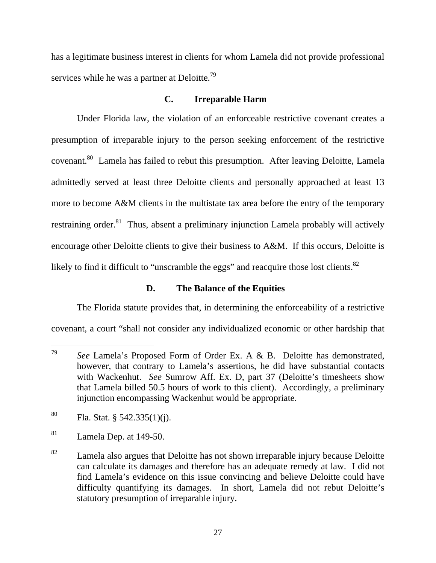has a legitimate business interest in clients for whom Lamela did not provide professional services while he was a partner at Deloitte.<sup>79</sup>

### **C. Irreparable Harm**

Under Florida law, the violation of an enforceable restrictive covenant creates a presumption of irreparable injury to the person seeking enforcement of the restrictive covenant.<sup>80</sup> Lamela has failed to rebut this presumption. After leaving Deloitte, Lamela admittedly served at least three Deloitte clients and personally approached at least 13 more to become A&M clients in the multistate tax area before the entry of the temporary restraining order. $81$  Thus, absent a preliminary injunction Lamela probably will actively encourage other Deloitte clients to give their business to A&M. If this occurs, Deloitte is likely to find it difficult to "unscramble the eggs" and reacquire those lost clients.<sup>82</sup>

## **D. The Balance of the Equities**

The Florida statute provides that, in determining the enforceability of a restrictive covenant, a court "shall not consider any individualized economic or other hardship that

<sup>79</sup> See Lamela's Proposed Form of Order Ex. A & B. Deloitte has demonstrated, however, that contrary to Lamela's assertions, he did have substantial contacts with Wackenhut. *See* Sumrow Aff. Ex. D, part 37 (Deloitte's timesheets show that Lamela billed 50.5 hours of work to this client). Accordingly, a preliminary injunction encompassing Wackenhut would be appropriate.

<sup>&</sup>lt;sup>80</sup> Fla. Stat. § 542.335(1)(j).

<sup>81</sup> Lamela Dep. at 149-50.

 $82$  Lamela also argues that Deloitte has not shown irreparable injury because Deloitte can calculate its damages and therefore has an adequate remedy at law. I did not find Lamela's evidence on this issue convincing and believe Deloitte could have difficulty quantifying its damages. In short, Lamela did not rebut Deloitte's statutory presumption of irreparable injury.